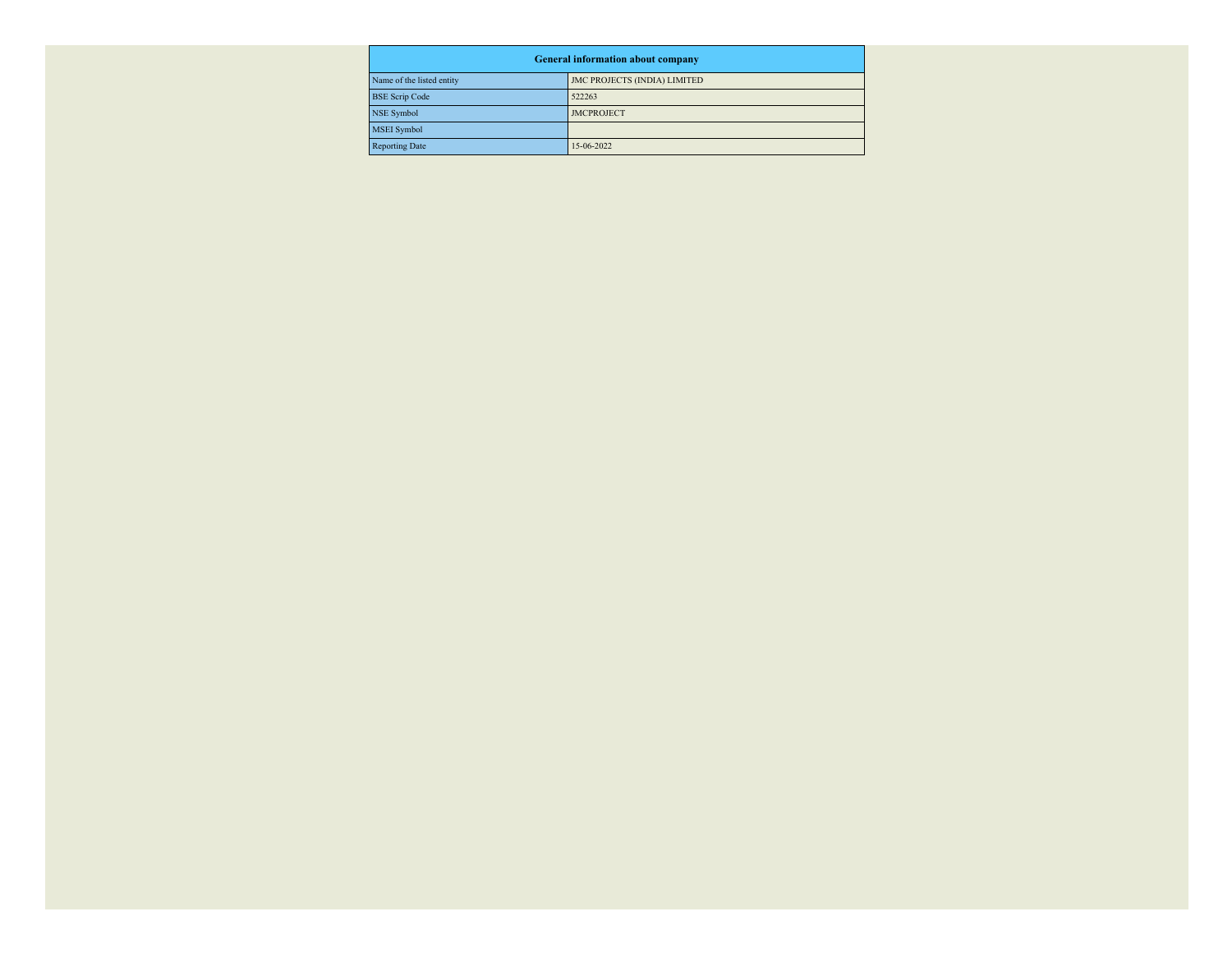| <b>General information about company</b> |                                     |  |  |  |  |
|------------------------------------------|-------------------------------------|--|--|--|--|
| Name of the listed entity                | <b>JMC PROJECTS (INDIA) LIMITED</b> |  |  |  |  |
| <b>BSE</b> Scrip Code                    | 522263                              |  |  |  |  |
| NSE Symbol                               | <b>JMCPROJECT</b>                   |  |  |  |  |
| MSEI Symbol                              |                                     |  |  |  |  |
| Reporting Date                           | 15-06-2022                          |  |  |  |  |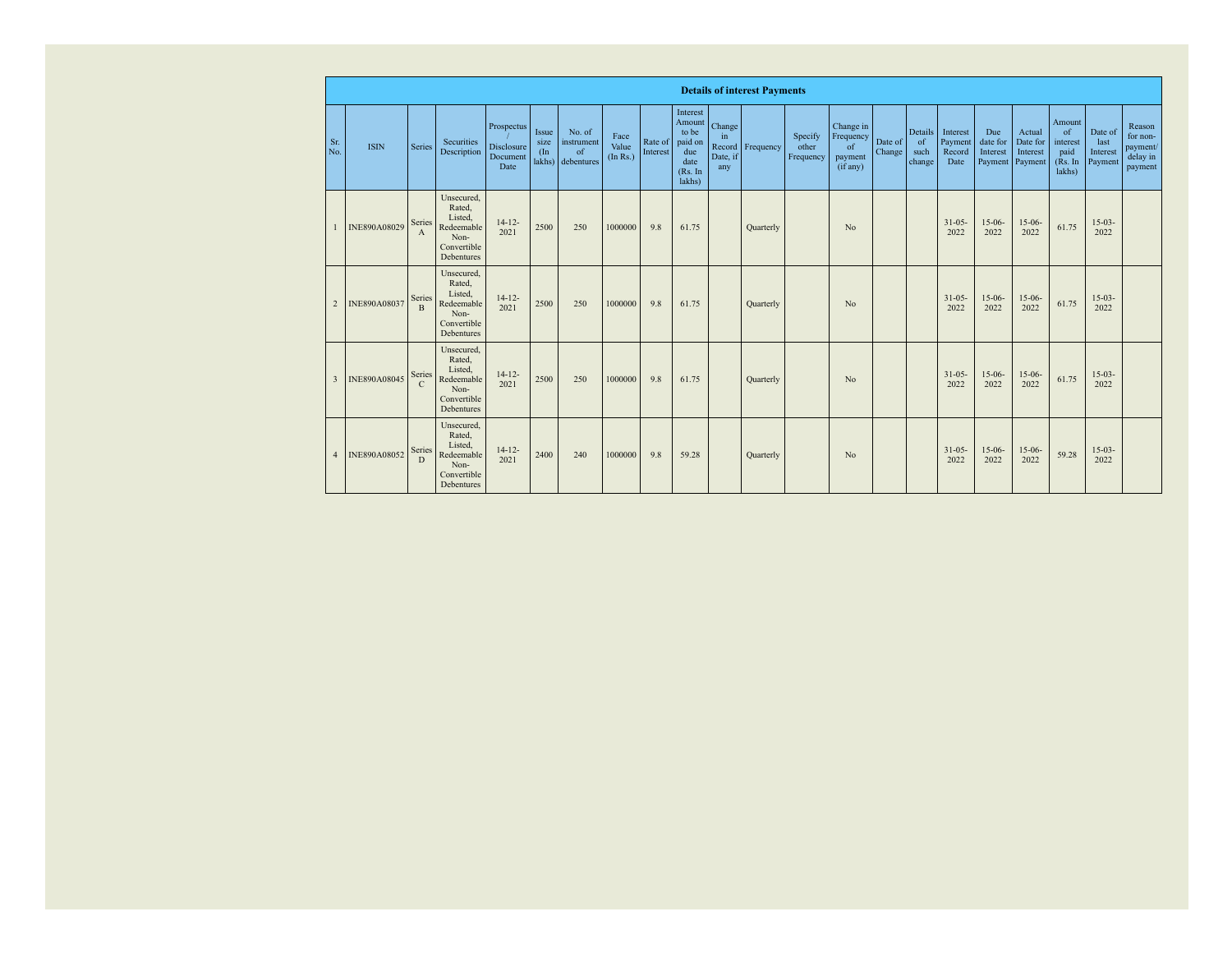|                | <b>Details of interest Payments</b> |                        |                                                                                    |                                              |                                |                                          |                           |                     |                                                                            |                                           |           |                               |                                                     |                   |                                 |                                       |                                        |                                           |                                                       |                                        |                                                       |
|----------------|-------------------------------------|------------------------|------------------------------------------------------------------------------------|----------------------------------------------|--------------------------------|------------------------------------------|---------------------------|---------------------|----------------------------------------------------------------------------|-------------------------------------------|-----------|-------------------------------|-----------------------------------------------------|-------------------|---------------------------------|---------------------------------------|----------------------------------------|-------------------------------------------|-------------------------------------------------------|----------------------------------------|-------------------------------------------------------|
| Sr.<br>No.     | <b>ISIN</b>                         | Series                 | Securities<br>Description                                                          | Prospectus<br>Disclosure<br>Document<br>Date | Issue<br>size<br>(In<br>lakhs) | No. of<br>instrument<br>of<br>debentures | Face<br>Value<br>(In Rs.) | Rate of<br>Interest | Interest<br>Amount<br>to be<br>paid on<br>due<br>date<br>(Rs. In<br>lakhs) | Change<br>in<br>Record<br>Date, if<br>any | Frequency | Specify<br>other<br>Frequency | Change in<br>Frequency<br>of<br>payment<br>(if any) | Date of<br>Change | Details<br>of<br>such<br>change | Interest<br>Payment<br>Record<br>Date | Due<br>date for<br>Interest<br>Payment | Actual<br>Date for<br>Interest<br>Payment | Amount<br>of<br>interest<br>paid<br>(Rs. In<br>lakhs) | Date of<br>last<br>Interest<br>Payment | Reason<br>for non-<br>payment/<br>delay in<br>payment |
|                | INE890A08029                        | Series<br>A            | Unsecured.<br>Rated.<br>Listed.<br>Redeemable<br>Non-<br>Convertible<br>Debentures | $14 - 12 -$<br>2021                          | 2500                           | 250                                      | 1000000                   | 9.8                 | 61.75                                                                      |                                           | Quarterly |                               | No                                                  |                   |                                 | $31 - 05 -$<br>2022                   | $15-06-$<br>2022                       | $15-06-$<br>2022                          | 61.75                                                 | $15-03-$<br>2022                       |                                                       |
| $\overline{2}$ | INE890A08037                        | Series<br>B            | Unsecured.<br>Rated.<br>Listed.<br>Redeemable<br>Non-<br>Convertible<br>Debentures | $14 - 12 -$<br>2021                          | 2500                           | 250                                      | 1000000                   | 9.8                 | 61.75                                                                      |                                           | Quarterly |                               | N <sub>0</sub>                                      |                   |                                 | $31 - 05 -$<br>2022                   | $15-06-$<br>2022                       | $15-06-$<br>2022                          | 61.75                                                 | $15-03-$<br>2022                       |                                                       |
| $\mathbf{3}$   | INE890A08045                        | Series<br>$\mathsf{C}$ | Unsecured.<br>Rated.<br>Listed.<br>Redeemable<br>Non-<br>Convertible<br>Debentures | $14 - 12 -$<br>2021                          | 2500                           | 250                                      | 1000000                   | 9.8                 | 61.75                                                                      |                                           | Quarterly |                               | N <sub>0</sub>                                      |                   |                                 | $31 - 05 -$<br>2022                   | $15-06-$<br>2022                       | $15-06-$<br>2022                          | 61.75                                                 | $15-03-$<br>2022                       |                                                       |
| $\overline{A}$ | INE890A08052                        | Series<br>D            | Unsecured,<br>Rated.<br>Listed.<br>Redeemable<br>Non-<br>Convertible<br>Debentures | $14 - 12 -$<br>2021                          | 2400                           | 240                                      | 1000000                   | 9.8                 | 59.28                                                                      |                                           | Quarterly |                               | No                                                  |                   |                                 | $31 - 05 -$<br>2022                   | $15-06-$<br>2022                       | $15-06-$<br>2022                          | 59.28                                                 | $15-03-$<br>2022                       |                                                       |